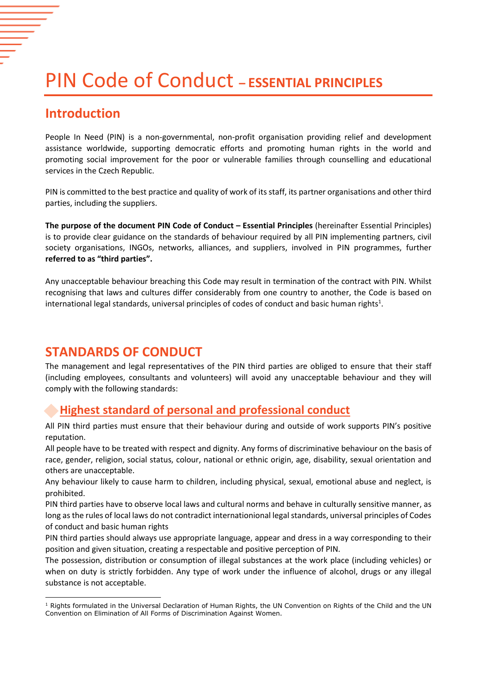# PIN Code of Conduct **– ESSENTIAL PRINCIPLES**

### **Introduction**

People In Need (PIN) is a non-governmental, non-profit organisation providing relief and development assistance worldwide, supporting democratic efforts and promoting human rights in the world and promoting social improvement for the poor or vulnerable families through counselling and educational services in the Czech Republic.

PIN is committed to the best practice and quality of work of its staff, its partner organisations and other third parties, including the suppliers.

**The purpose of the document PIN Code of Conduct – Essential Principles** (hereinafter Essential Principles) is to provide clear guidance on the standards of behaviour required by all PIN implementing partners, civil society organisations, INGOs, networks, alliances, and suppliers, involved in PIN programmes, further **referred to as "third parties".**

Any unacceptable behaviour breaching this Code may result in termination of the contract with PIN. Whilst recognising that laws and cultures differ considerably from one country to another, the Code is based on international legal standards, universal principles of codes of conduct and basic human rights $^{1}$ .

### **STANDARDS OF CONDUCT**

The management and legal representatives of the PIN third parties are obliged to ensure that their staff (including employees, consultants and volunteers) will avoid any unacceptable behaviour and they will comply with the following standards:

### **Highest standard of personal and professional conduct**

All PIN third parties must ensure that their behaviour during and outside of work supports PIN's positive reputation.

All people have to be treated with respect and dignity. Any forms of discriminative behaviour on the basis of race, gender, religion, social status, colour, national or ethnic origin, age, disability, sexual orientation and others are unacceptable.

Any behaviour likely to cause harm to children, including physical, sexual, emotional abuse and neglect, is prohibited.

PIN third parties have to observe local laws and cultural norms and behave in culturally sensitive manner, as long as the rules of local laws do not contradict internationional legal standards, universal principles of Codes of conduct and basic human rights

PIN third parties should always use appropriate language, appear and dress in a way corresponding to their position and given situation, creating a respectable and positive perception of PIN.

The possession, distribution or consumption of illegal substances at the work place (including vehicles) or when on duty is strictly forbidden. Any type of work under the influence of alcohol, drugs or any illegal substance is not acceptable.

**<sup>.</sup>** <sup>1</sup> Rights formulated in the Universal Declaration of Human Rights, the UN Convention on Rights of the Child and the UN Convention on Elimination of All Forms of Discrimination Against Women.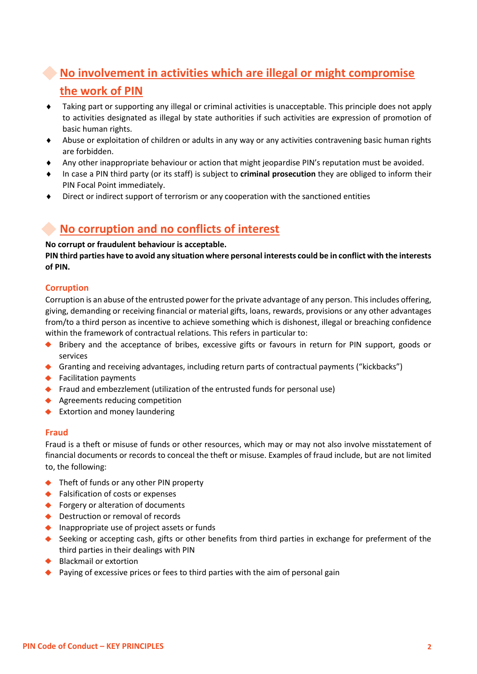# **No involvement in activities which are illegal or might compromise the work of PIN**

- Taking part or supporting any illegal or criminal activities is unacceptable. This principle does not apply to activities designated as illegal by state authorities if such activities are expression of promotion of basic human rights.
- Abuse or exploitation of children or adults in any way or any activities contravening basic human rights are forbidden.
- Any other inappropriate behaviour or action that might jeopardise PIN's reputation must be avoided.
- In case a PIN third party (or its staff) is subject to **criminal prosecution** they are obliged to inform their PIN Focal Point immediately.
- Direct or indirect support of terrorism or any cooperation with the sanctioned entities

### **No corruption and no conflicts of interest**

#### **No corrupt or fraudulent behaviour is acceptable.**

**PIN third parties have to avoid any situation where personal interests could be in conflict with the interests of PIN.** 

### **Corruption**

Corruption is an abuse of the entrusted power for the private advantage of any person. This includes offering, giving, demanding or receiving financial or material gifts, loans, rewards, provisions or any other advantages from/to a third person as incentive to achieve something which is dishonest, illegal or breaching confidence within the framework of contractual relations. This refers in particular to:

- Bribery and the acceptance of bribes, excessive gifts or favours in return for PIN support, goods or services
- Granting and receiving advantages, including return parts of contractual payments ("kickbacks")
- ◆ Facilitation payments
- Fraud and embezzlement (utilization of the entrusted funds for personal use)
- ◆ Agreements reducing competition
- ◆ Extortion and money laundering

#### **Fraud**

Fraud is a theft or misuse of funds or other resources, which may or may not also involve misstatement of financial documents or records to conceal the theft or misuse. Examples of fraud include, but are not limited to, the following:

- ◆ Theft of funds or any other PIN property
- ◆ Falsification of costs or expenses
- ◆ Forgery or alteration of documents
- ◆ Destruction or removal of records
- $\bullet$  Inappropriate use of project assets or funds
- Seeking or accepting cash, gifts or other benefits from third parties in exchange for preferment of the third parties in their dealings with PIN
- ◆ Blackmail or extortion
- ◆ Paying of excessive prices or fees to third parties with the aim of personal gain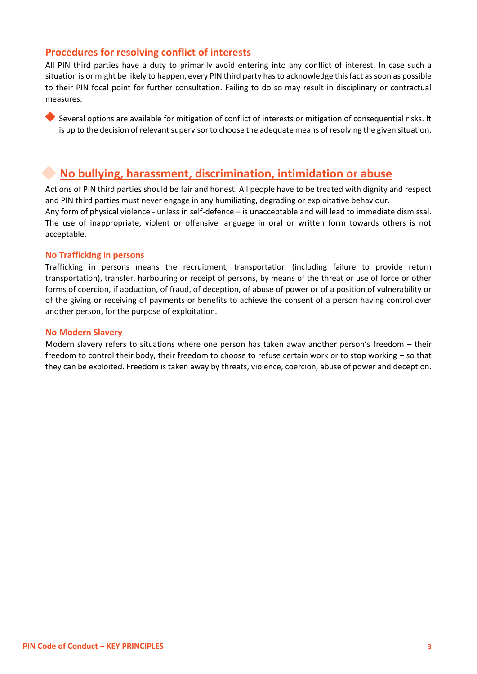### **Procedures for resolving conflict of interests**

All PIN third parties have a duty to primarily avoid entering into any conflict of interest. In case such a situation is or might be likely to happen, every PIN third party has to acknowledge this fact as soon as possible to their PIN focal point for further consultation. Failing to do so may result in disciplinary or contractual measures.

Several options are available for mitigation of conflict of interests or mitigation of consequential risks. It is up to the decision of relevant supervisor to choose the adequate means of resolving the given situation.

### **No bullying, harassment, discrimination, intimidation or abuse**

Actions of PIN third parties should be fair and honest. All people have to be treated with dignity and respect and PIN third parties must never engage in any humiliating, degrading or exploitative behaviour. Any form of physical violence - unless in self-defence – is unacceptable and will lead to immediate dismissal. The use of inappropriate, violent or offensive language in oral or written form towards others is not acceptable.

#### **No Trafficking in persons**

Trafficking in persons means the recruitment, transportation (including failure to provide return transportation), transfer, harbouring or receipt of persons, by means of the threat or use of force or other forms of coercion, if abduction, of fraud, of deception, of abuse of power or of a position of vulnerability or of the giving or receiving of payments or benefits to achieve the consent of a person having control over another person, for the purpose of exploitation.

#### **No Modern Slavery**

Modern slavery refers to situations where one person has taken away another person's freedom – their freedom to control their body, their freedom to choose to refuse certain work or to stop working – so that they can be exploited. Freedom is taken away by threats, violence, coercion, abuse of power and deception.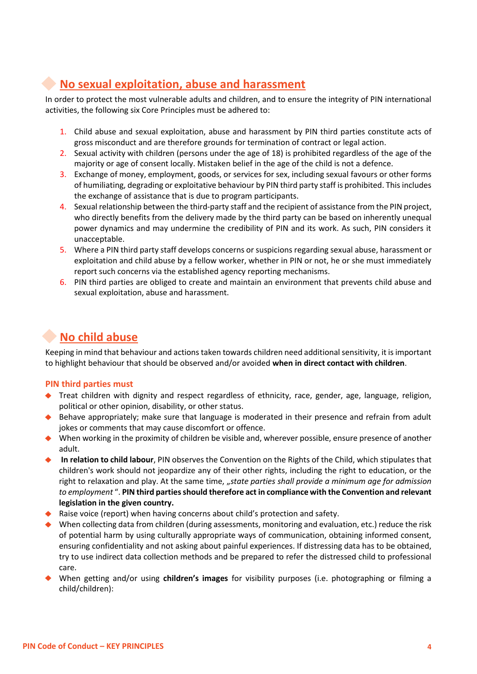# **No sexual exploitation, abuse and harassment**

In order to protect the most vulnerable adults and children, and to ensure the integrity of PIN international activities, the following six Core Principles must be adhered to:

- 1. Child abuse and sexual exploitation, abuse and harassment by PIN third parties constitute acts of gross misconduct and are therefore grounds for termination of contract or legal action.
- 2. Sexual activity with children (persons under the age of 18) is prohibited regardless of the age of the majority or age of consent locally. Mistaken belief in the age of the child is not a defence.
- 3. Exchange of money, employment, goods, or services for sex, including sexual favours or other forms of humiliating, degrading or exploitative behaviour by PIN third party staff is prohibited. This includes the exchange of assistance that is due to program participants.
- 4. Sexual relationship between the third-party staff and the recipient of assistance from the PIN project, who directly benefits from the delivery made by the third party can be based on inherently unequal power dynamics and may undermine the credibility of PIN and its work. As such, PIN considers it unacceptable.
- 5. Where a PIN third party staff develops concerns or suspicions regarding sexual abuse, harassment or exploitation and child abuse by a fellow worker, whether in PIN or not, he or she must immediately report such concerns via the established agency reporting mechanisms.
- 6. PIN third parties are obliged to create and maintain an environment that prevents child abuse and sexual exploitation, abuse and harassment.

# **No child abuse**

Keeping in mind that behaviour and actions taken towards children need additional sensitivity, it is important to highlight behaviour that should be observed and/or avoided **when in direct contact with children**.

### **PIN third parties must**

- Treat children with dignity and respect regardless of ethnicity, race, gender, age, language, religion, political or other opinion, disability, or other status.
- ◆ Behave appropriately; make sure that language is moderated in their presence and refrain from adult jokes or comments that may cause discomfort or offence.
- When working in the proximity of children be visible and, wherever possible, ensure presence of another adult.
- **In relation to child labour**, PIN observes the Convention on the Rights of the Child, which stipulates that children's work should not jeopardize any of their other rights, including the right to education, or the right to relaxation and play. At the same time, "state parties shall provide a minimum age for admission to employment ". PIN third parties should therefore act in compliance with the Convention and relevant **legislation in the given country.**
- $\blacklozenge$  Raise voice (report) when having concerns about child's protection and safety.
- When collecting data from children (during assessments, monitoring and evaluation, etc.) reduce the risk of potential harm by using culturally appropriate ways of communication, obtaining informed consent, ensuring confidentiality and not asking about painful experiences. If distressing data has to be obtained, try to use indirect data collection methods and be prepared to refer the distressed child to professional care.
- When getting and/or using **children's images** for visibility purposes (i.e. photographing or filming a child/children):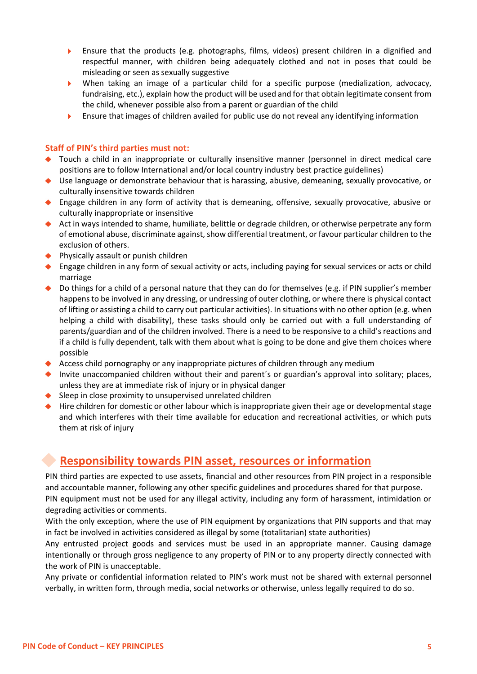- Ensure that the products (e.g. photographs, films, videos) present children in a dignified and ь respectful manner, with children being adequately clothed and not in poses that could be misleading or seen as sexually suggestive
- When taking an image of a particular child for a specific purpose (medialization, advocacy, fundraising, etc.), explain how the product will be used and for that obtain legitimate consent from the child, whenever possible also from a parent or guardian of the child
- Ensure that images of children availed for public use do not reveal any identifying information  $\blacktriangleright$

#### **Staff of PIN's third parties must not:**

- Touch a child in an inappropriate or culturally insensitive manner (personnel in direct medical care positions are to follow International and/or local country industry best practice guidelines)
- Use language or demonstrate behaviour that is harassing, abusive, demeaning, sexually provocative, or culturally insensitive towards children
- Engage children in any form of activity that is demeaning, offensive, sexually provocative, abusive or culturally inappropriate or insensitive
- ◆ Act in ways intended to shame, humiliate, belittle or degrade children, or otherwise perpetrate any form of emotional abuse, discriminate against, show differential treatment, or favour particular children to the exclusion of others.
- ◆ Physically assault or punish children
- ◆ Engage children in any form of sexual activity or acts, including paying for sexual services or acts or child marriage
- ◆ Do things for a child of a personal nature that they can do for themselves (e.g. if PIN supplier's member happens to be involved in any dressing, or undressing of outer clothing, or where there is physical contact of lifting or assisting a child to carry out particular activities). In situations with no other option (e.g. when helping a child with disability), these tasks should only be carried out with a full understanding of parents/guardian and of the children involved. There is a need to be responsive to a child's reactions and if a child is fully dependent, talk with them about what is going to be done and give them choices where possible
- Access child pornography or any inappropriate pictures of children through any medium
- Invite unaccompanied children without their and parent´s or guardian's approval into solitary; places, unless they are at immediate risk of injury or in physical danger
- $\triangle$  Sleep in close proximity to unsupervised unrelated children
- ◆ Hire children for domestic or other labour which is inappropriate given their age or developmental stage and which interferes with their time available for education and recreational activities, or which puts them at risk of injury

### **Responsibility towards PIN asset, resources or information**

PIN third parties are expected to use assets, financial and other resources from PIN project in a responsible and accountable manner, following any other specific guidelines and procedures shared for that purpose. PIN equipment must not be used for any illegal activity, including any form of harassment, intimidation or degrading activities or comments.

With the only exception, where the use of PIN equipment by organizations that PIN supports and that may in fact be involved in activities considered as illegal by some (totalitarian) state authorities)

Any entrusted project goods and services must be used in an appropriate manner. Causing damage intentionally or through gross negligence to any property of PIN or to any property directly connected with the work of PIN is unacceptable.

Any private or confidential information related to PIN's work must not be shared with external personnel verbally, in written form, through media, social networks or otherwise, unless legally required to do so.